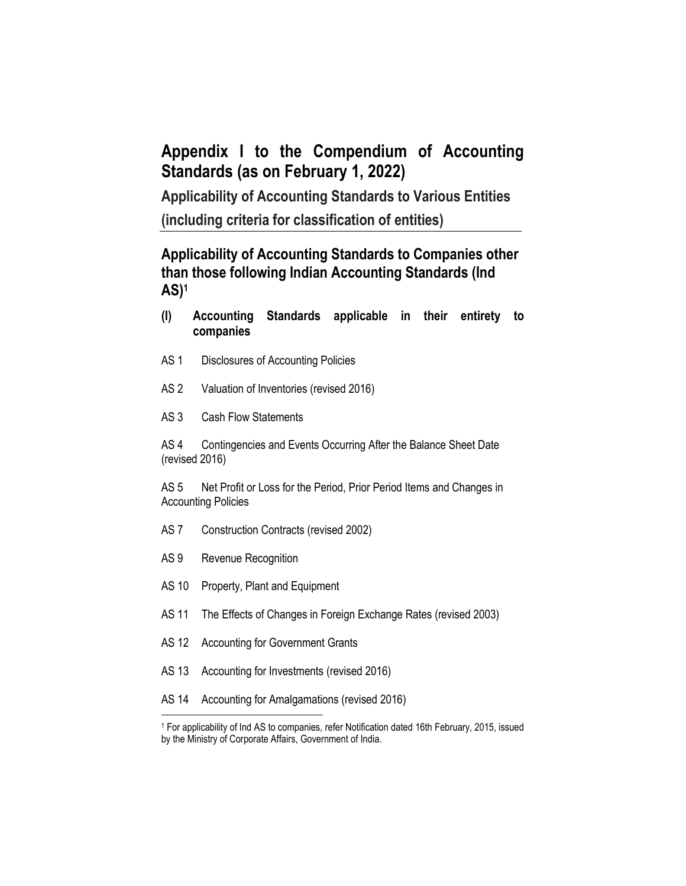# **Appendix I to the Compendium of Accounting Standards (as on February 1, 2022)**

**Applicability of Accounting Standards to Various Entities**

**(including criteria for classification of entities)**

# **Applicability of Accounting Standards to Companies other than those following Indian Accounting Standards (Ind AS)<sup>1</sup>**

- **(I) Accounting Standards applicable in their entirety to companies**
- AS 1 Disclosures of Accounting Policies
- AS 2 Valuation of Inventories (revised 2016)
- AS 3 Cash Flow Statements

AS 4 Contingencies and Events Occurring After the Balance Sheet Date (revised 2016)

AS 5 Net Profit or Loss for the Period, Prior Period Items and Changes in Accounting Policies

- AS 7 Construction Contracts (revised 2002)
- AS 9 Revenue Recognition
- AS 10 Property, Plant and Equipment
- AS 11 The Effects of Changes in Foreign Exchange Rates (revised 2003)
- AS 12 Accounting for Government Grants
- AS 13 Accounting for Investments (revised 2016)
- AS 14 Accounting for Amalgamations (revised 2016)

 $\overline{a}$ <sup>1</sup> For applicability of Ind AS to companies, refer Notification dated 16th February, 2015, issued by the Ministry of Corporate Affairs, Government of India.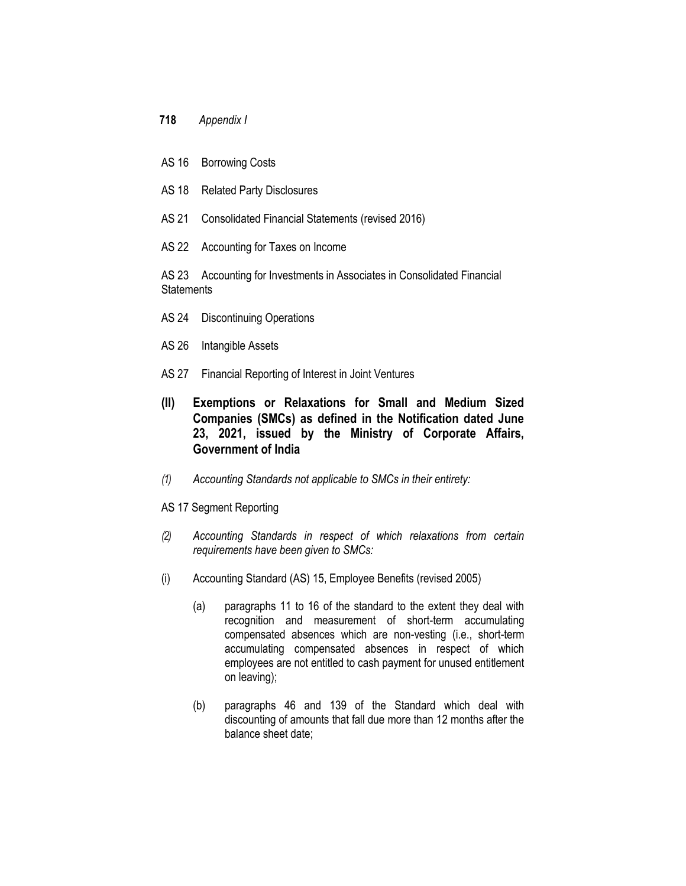- **718** *Appendix I*
- AS 16 Borrowing Costs
- AS 18 Related Party Disclosures
- AS 21 Consolidated Financial Statements (revised 2016)
- AS 22 Accounting for Taxes on Income

AS 23 Accounting for Investments in Associates in Consolidated Financial **Statements** 

- AS 24 Discontinuing Operations
- AS 26 Intangible Assets
- AS 27 Financial Reporting of Interest in Joint Ventures
- **(II) Exemptions or Relaxations for Small and Medium Sized Companies (SMCs) as defined in the Notification dated June 23, 2021, issued by the Ministry of Corporate Affairs, Government of India**
- *(1) Accounting Standards not applicable to SMCs in their entirety:*
- AS 17 Segment Reporting
- *(2) Accounting Standards in respect of which relaxations from certain requirements have been given to SMCs:*
- (i) Accounting Standard (AS) 15, Employee Benefits (revised 2005)
	- (a) paragraphs 11 to 16 of the standard to the extent they deal with recognition and measurement of short-term accumulating compensated absences which are non-vesting (i.e., short-term accumulating compensated absences in respect of which employees are not entitled to cash payment for unused entitlement on leaving);
	- (b) paragraphs 46 and 139 of the Standard which deal with discounting of amounts that fall due more than 12 months after the balance sheet date;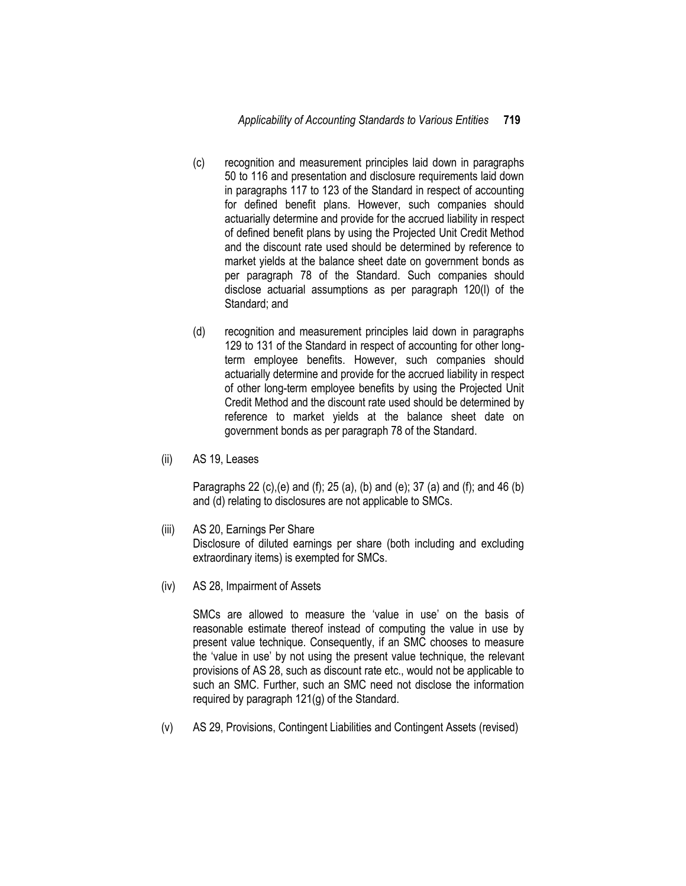- (c) recognition and measurement principles laid down in paragraphs 50 to 116 and presentation and disclosure requirements laid down in paragraphs 117 to 123 of the Standard in respect of accounting for defined benefit plans. However, such companies should actuarially determine and provide for the accrued liability in respect of defined benefit plans by using the Projected Unit Credit Method and the discount rate used should be determined by reference to market yields at the balance sheet date on government bonds as per paragraph 78 of the Standard. Such companies should disclose actuarial assumptions as per paragraph 120(l) of the Standard; and
- (d) recognition and measurement principles laid down in paragraphs 129 to 131 of the Standard in respect of accounting for other longterm employee benefits. However, such companies should actuarially determine and provide for the accrued liability in respect of other long-term employee benefits by using the Projected Unit Credit Method and the discount rate used should be determined by reference to market yields at the balance sheet date on government bonds as per paragraph 78 of the Standard.
- (ii) AS 19, Leases

Paragraphs 22 (c),(e) and (f); 25 (a), (b) and (e); 37 (a) and (f); and 46 (b) and (d) relating to disclosures are not applicable to SMCs.

- (iii) AS 20, Earnings Per Share Disclosure of diluted earnings per share (both including and excluding extraordinary items) is exempted for SMCs.
- (iv) AS 28, Impairment of Assets

SMCs are allowed to measure the 'value in use' on the basis of reasonable estimate thereof instead of computing the value in use by present value technique. Consequently, if an SMC chooses to measure the 'value in use' by not using the present value technique, the relevant provisions of AS 28, such as discount rate etc., would not be applicable to such an SMC. Further, such an SMC need not disclose the information required by paragraph 121(g) of the Standard.

(v) AS 29, Provisions, Contingent Liabilities and Contingent Assets (revised)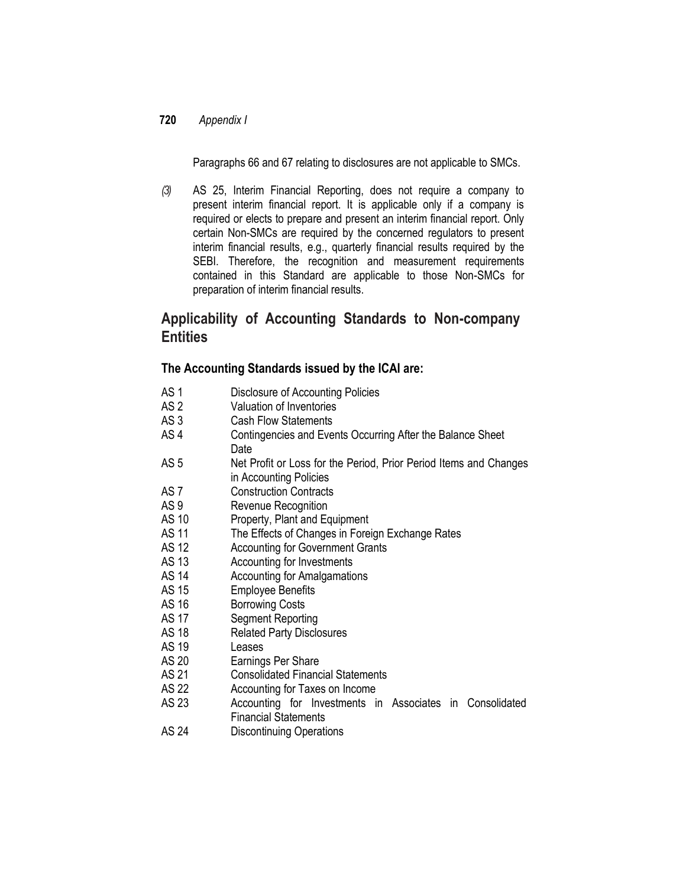Paragraphs 66 and 67 relating to disclosures are not applicable to SMCs.

*(3)* AS 25, Interim Financial Reporting, does not require a company to present interim financial report. It is applicable only if a company is required or elects to prepare and present an interim financial report. Only certain Non-SMCs are required by the concerned regulators to present interim financial results, e.g., quarterly financial results required by the SEBI. Therefore, the recognition and measurement requirements contained in this Standard are applicable to those Non-SMCs for preparation of interim financial results.

# **Applicability of Accounting Standards to Non-company Entities**

### **The Accounting Standards issued by the ICAI are:**

- AS 1 Disclosure of Accounting Policies
- AS 2 Valuation of Inventories
- AS 3 Cash Flow Statements
- AS 4 Contingencies and Events Occurring After the Balance Sheet Date
- AS 5 Net Profit or Loss for the Period, Prior Period Items and Changes in Accounting Policies
- AS 7 Construction Contracts
- 
- AS 9 Revenue Recognition<br>AS 10 Property Plant and Fo Property, Plant and Equipment
- AS 11 The Effects of Changes in Foreign Exchange Rates
- AS 12 Accounting for Government Grants
- AS 13 Accounting for Investments
- AS 14 Accounting for Amalgamations
- AS 15 Employee Benefits
- AS 16 Borrowing Costs
- AS 17 Segment Reporting
- AS 18 Related Party Disclosures
- AS 19 Leases
- AS 20 Earnings Per Share
- AS 21 Consolidated Financial Statements
- AS 22 Accounting for Taxes on Income<br>AS 23 Accounting for Investments in
- Accounting for Investments in Associates in Consolidated Financial Statements
- AS 24 Discontinuing Operations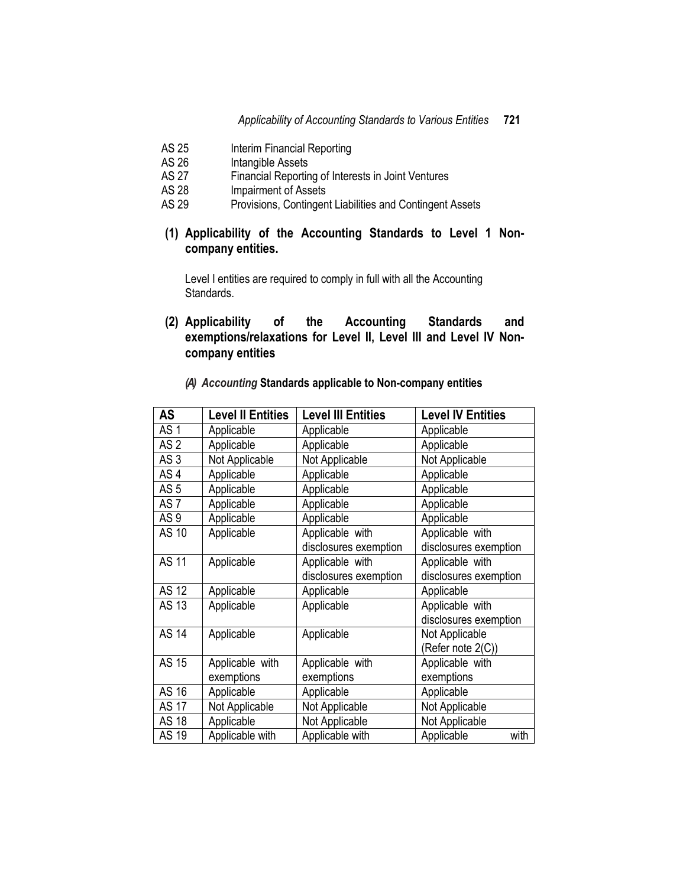- AS 25 Interim Financial Reporting<br>AS 26 Intangible Assets
- AS 26 Intangible Assets<br>AS 27 Financial Reportir
- Financial Reporting of Interests in Joint Ventures
- AS 28 Impairment of Assets
- AS 29 Provisions, Contingent Liabilities and Contingent Assets
- **(1) Applicability of the Accounting Standards to Level 1 Noncompany entities.**

Level I entities are required to comply in full with all the Accounting Standards.

**(2) Applicability of the Accounting Standards and exemptions/relaxations for Level II, Level III and Level IV Noncompany entities**

| <b>AS</b>       | <b>Level II Entities</b> | <b>Level III Entities</b> | <b>Level IV Entities</b> |
|-----------------|--------------------------|---------------------------|--------------------------|
| AS <sub>1</sub> | Applicable               | Applicable                | Applicable               |
| AS <sub>2</sub> | Applicable               | Applicable                | Applicable               |
| AS <sub>3</sub> | Not Applicable           | Not Applicable            | Not Applicable           |
| AS <sub>4</sub> | Applicable               | Applicable                | Applicable               |
| AS <sub>5</sub> | Applicable               | Applicable                | Applicable               |
| AS <sub>7</sub> | Applicable               | Applicable                | Applicable               |
| AS <sub>9</sub> | Applicable               | Applicable                | Applicable               |
| AS 10           | Applicable               | Applicable with           | Applicable with          |
|                 |                          | disclosures exemption     | disclosures exemption    |
| <b>AS 11</b>    | Applicable               | Applicable with           | Applicable with          |
|                 |                          | disclosures exemption     | disclosures exemption    |
| <b>AS 12</b>    | Applicable               | Applicable                | Applicable               |
| <b>AS 13</b>    | Applicable               | Applicable                | Applicable with          |
|                 |                          |                           | disclosures exemption    |
| <b>AS 14</b>    | Applicable               | Applicable                | Not Applicable           |
|                 |                          |                           | (Refer note 2(C))        |
| AS 15           | Applicable with          | Applicable with           | Applicable with          |
|                 | exemptions               | exemptions                | exemptions               |
| AS 16           | Applicable               | Applicable                | Applicable               |
| <b>AS 17</b>    | Not Applicable           | Not Applicable            | Not Applicable           |
| <b>AS 18</b>    | Applicable               | Not Applicable            | Not Applicable           |
| <b>AS 19</b>    | Applicable with          | Applicable with           | Applicable<br>with       |

*(A) Accounting* **Standards applicable to Non-company entities**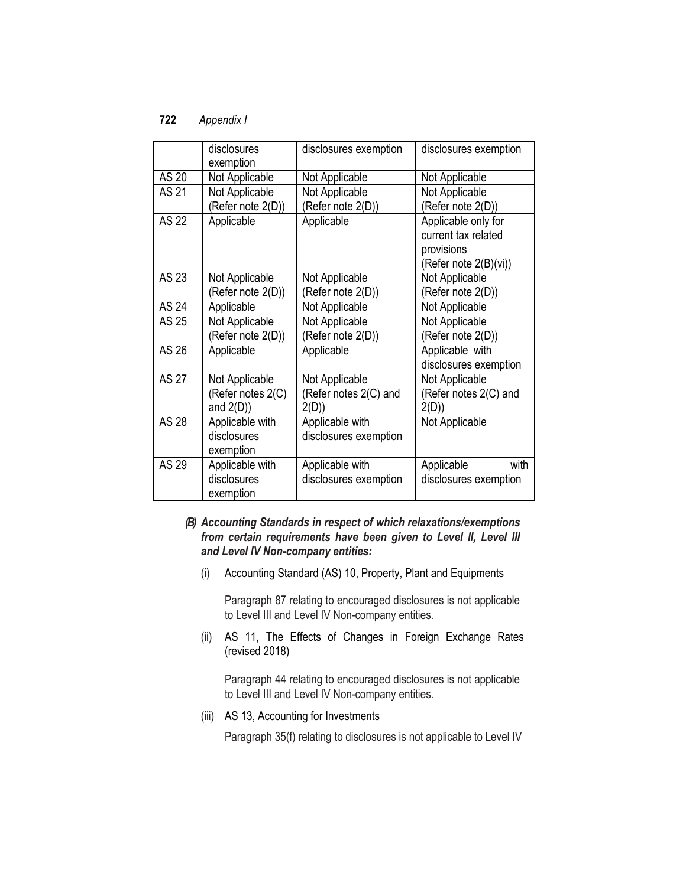|              | disclosures<br>exemption                            | disclosures exemption                           | disclosures exemption                                                             |
|--------------|-----------------------------------------------------|-------------------------------------------------|-----------------------------------------------------------------------------------|
| AS 20        | Not Applicable                                      | Not Applicable                                  | Not Applicable                                                                    |
| <b>AS 21</b> | Not Applicable<br>(Refer note 2(D))                 | Not Applicable<br>(Refer note 2(D))             | Not Applicable<br>(Refer note 2(D))                                               |
| <b>AS 22</b> | Applicable                                          | Applicable                                      | Applicable only for<br>current tax related<br>provisions<br>(Refer note 2(B)(vi)) |
| AS 23        | Not Applicable<br>(Refer note 2(D))                 | Not Applicable<br>(Refer note 2(D))             | Not Applicable<br>(Refer note 2(D))                                               |
| <b>AS 24</b> | Applicable                                          | Not Applicable                                  | Not Applicable                                                                    |
| AS 25        | Not Applicable<br>(Refer note 2(D))                 | Not Applicable<br>(Refer note 2(D))             | Not Applicable<br>(Refer note 2(D))                                               |
| AS 26        | Applicable                                          | Applicable                                      | Applicable with<br>disclosures exemption                                          |
| <b>AS 27</b> | Not Applicable<br>(Refer notes 2(C)<br>and $2(D)$ ) | Not Applicable<br>(Refer notes 2(C) and<br>2(D) | Not Applicable<br>(Refer notes 2(C) and<br>2(D)                                   |
| <b>AS 28</b> | Applicable with<br>disclosures<br>exemption         | Applicable with<br>disclosures exemption        | Not Applicable                                                                    |
| AS 29        | Applicable with<br>disclosures<br>exemption         | Applicable with<br>disclosures exemption        | Applicable<br>with<br>disclosures exemption                                       |

### *(B) Accounting Standards in respect of which relaxations/exemptions from certain requirements have been given to Level II, Level III and Level IV Non-company entities:*

(i) Accounting Standard (AS) 10, Property, Plant and Equipments

Paragraph 87 relating to encouraged disclosures is not applicable to Level III and Level IV Non-company entities.

(ii) AS 11, The Effects of Changes in Foreign Exchange Rates (revised 2018)

Paragraph 44 relating to encouraged disclosures is not applicable to Level III and Level IV Non-company entities.

(iii) AS 13, Accounting for Investments

Paragraph 35(f) relating to disclosures is not applicable to Level IV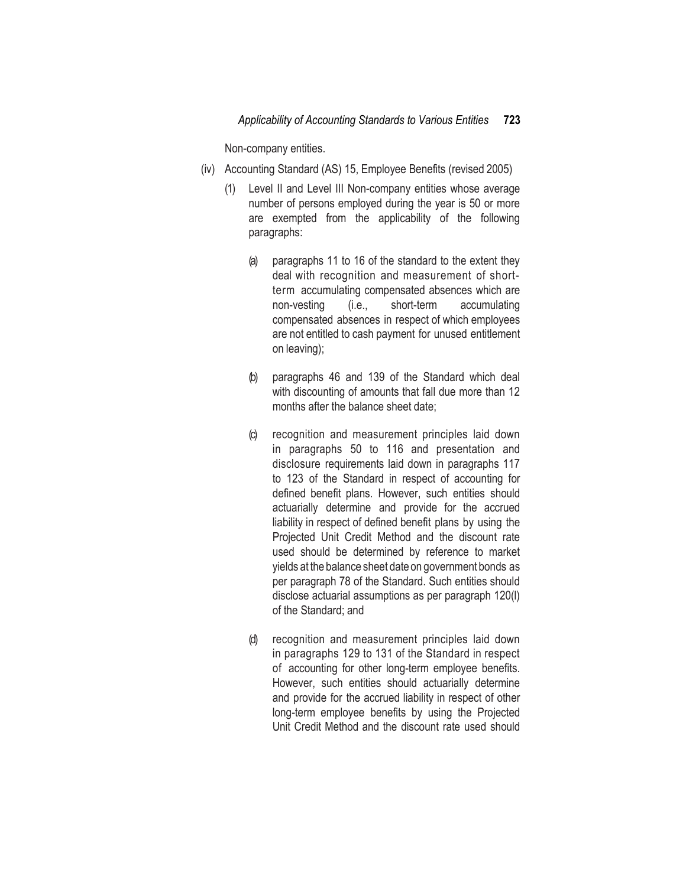Non-company entities.

- (iv) Accounting Standard (AS) 15, Employee Benefits (revised 2005)
	- (1) Level II and Level III Non-company entities whose average number of persons employed during the year is 50 or more are exempted from the applicability of the following paragraphs:
		- (a) paragraphs 11 to 16 of the standard to the extent they deal with recognition and measurement of shortterm accumulating compensated absences which are non-vesting (i.e., short-term accumulating compensated absences in respect of which employees are not entitled to cash payment for unused entitlement on leaving);
		- (b) paragraphs 46 and 139 of the Standard which deal with discounting of amounts that fall due more than 12 months after the balance sheet date;
		- (c) recognition and measurement principles laid down in paragraphs 50 to 116 and presentation and disclosure requirements laid down in paragraphs 117 to 123 of the Standard in respect of accounting for defined benefit plans. However, such entities should actuarially determine and provide for the accrued liability in respect of defined benefit plans by using the Projected Unit Credit Method and the discount rate used should be determined by reference to market yields at the balance sheet date on government bonds as per paragraph 78 of the Standard. Such entities should disclose actuarial assumptions as per paragraph 120(l) of the Standard; and
		- (d) recognition and measurement principles laid down in paragraphs 129 to 131 of the Standard in respect of accounting for other long-term employee benefits. However, such entities should actuarially determine and provide for the accrued liability in respect of other long-term employee benefits by using the Projected Unit Credit Method and the discount rate used should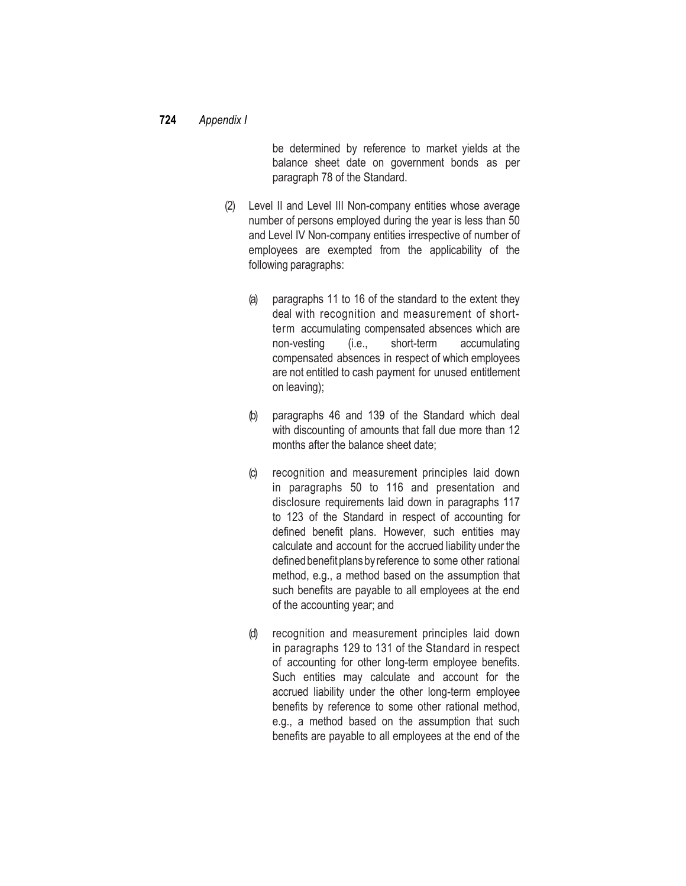be determined by reference to market yields at the balance sheet date on government bonds as per paragraph 78 of the Standard.

- (2) Level II and Level III Non-company entities whose average number of persons employed during the year is less than 50 and Level IV Non-company entities irrespective of number of employees are exempted from the applicability of the following paragraphs:
	- (a) paragraphs 11 to 16 of the standard to the extent they deal with recognition and measurement of shortterm accumulating compensated absences which are non-vesting (i.e., short-term accumulating compensated absences in respect of which employees are not entitled to cash payment for unused entitlement on leaving);
	- (b) paragraphs 46 and 139 of the Standard which deal with discounting of amounts that fall due more than 12 months after the balance sheet date;
	- (c) recognition and measurement principles laid down in paragraphs 50 to 116 and presentation and disclosure requirements laid down in paragraphs 117 to 123 of the Standard in respect of accounting for defined benefit plans. However, such entities may calculate and account for the accrued liability under the defined benefit plans by reference to some other rational method, e.g., a method based on the assumption that such benefits are payable to all employees at the end of the accounting year; and
	- (d) recognition and measurement principles laid down in paragraphs 129 to 131 of the Standard in respect of accounting for other long-term employee benefits. Such entities may calculate and account for the accrued liability under the other long-term employee benefits by reference to some other rational method, e.g., a method based on the assumption that such benefits are payable to all employees at the end of the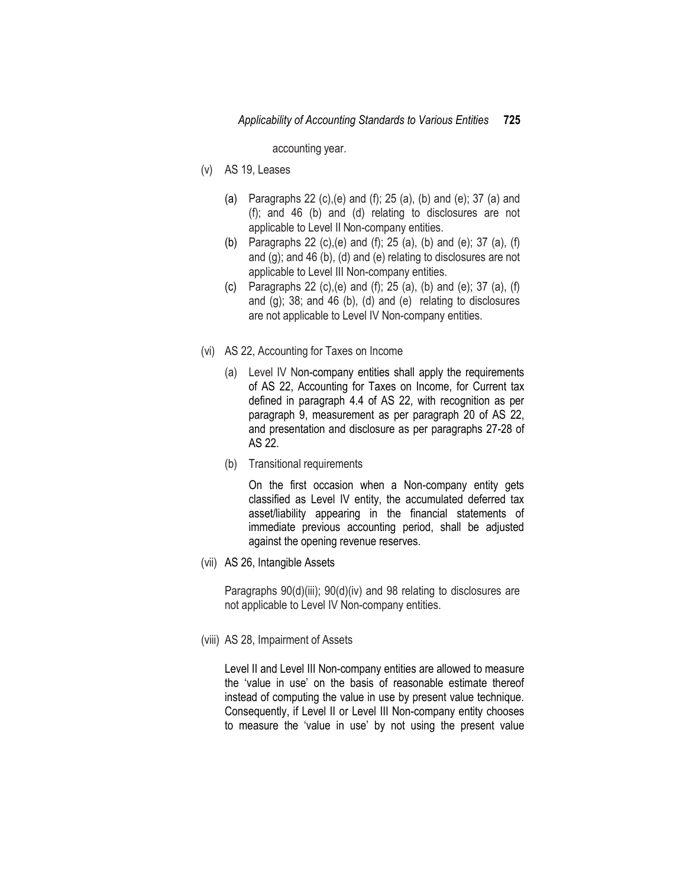accounting year.

- (v) AS 19, Leases
	- (a) Paragraphs 22 (c),(e) and (f); 25 (a), (b) and (e); 37 (a) and (f); and 46 (b) and (d) relating to disclosures are not applicable to Level II Non-company entities.
	- (b) Paragraphs 22 (c),(e) and (f); 25 (a), (b) and (e); 37 (a), (f) and (g); and 46 (b), (d) and (e) relating to disclosures are not applicable to Level III Non-company entities.
	- (c) Paragraphs 22 (c),(e) and (f); 25 (a), (b) and (e); 37 (a), (f) and (g); 38; and 46 (b), (d) and (e) relating to disclosures are not applicable to Level IV Non-company entities.
- (vi) AS 22, Accounting for Taxes on Income
	- (a) Level IV Non-company entities shall apply the requirements of AS 22, Accounting for Taxes on Income, for Current tax defined in paragraph 4.4 of AS 22, with recognition as per paragraph 9, measurement as per paragraph 20 of AS 22, and presentation and disclosure as per paragraphs 27-28 of AS 22.
	- (b) Transitional requirements

On the first occasion when a Non-company entity gets classified as Level IV entity, the accumulated deferred tax asset/liability appearing in the financial statements of immediate previous accounting period, shall be adjusted against the opening revenue reserves.

(vii) AS 26, Intangible Assets

Paragraphs  $90(d)(iii)$ ;  $90(d)(iv)$  and 98 relating to disclosures are not applicable to Level IV Non-company entities.

(viii) AS 28, Impairment of Assets

Level II and Level III Non-company entities are allowed to measure the 'value in use' on the basis of reasonable estimate thereof instead of computing the value in use by present value technique. Consequently, if Level II or Level III Non-company entity chooses to measure the 'value in use' by not using the present value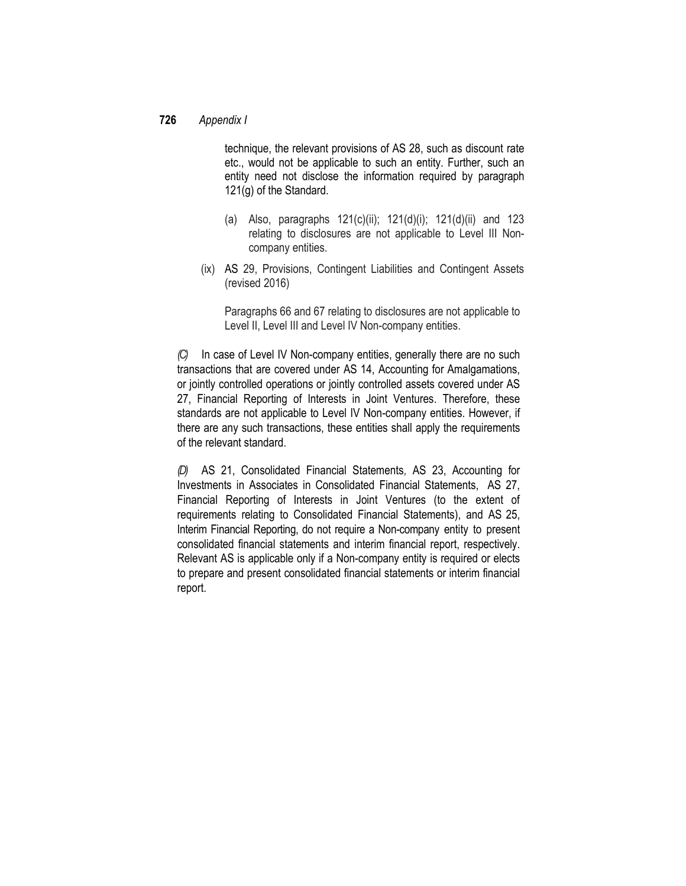technique, the relevant provisions of AS 28, such as discount rate etc., would not be applicable to such an entity. Further, such an entity need not disclose the information required by paragraph 121(g) of the Standard.

- (a) Also, paragraphs  $121(c)(ii)$ ;  $121(d)(i)$ ;  $121(d)(ii)$  and  $123$ relating to disclosures are not applicable to Level III Noncompany entities.
- (ix) AS 29, Provisions, Contingent Liabilities and Contingent Assets (revised 2016)

Paragraphs 66 and 67 relating to disclosures are not applicable to Level II, Level III and Level IV Non-company entities.

*(C)* In case of Level IV Non-company entities, generally there are no such transactions that are covered under AS 14, Accounting for Amalgamations, or jointly controlled operations or jointly controlled assets covered under AS 27, Financial Reporting of Interests in Joint Ventures. Therefore, these standards are not applicable to Level IV Non-company entities. However, if there are any such transactions, these entities shall apply the requirements of the relevant standard.

*(D)* AS 21, Consolidated Financial Statements*,* AS 23, Accounting for Investments in Associates in Consolidated Financial Statements, AS 27, Financial Reporting of Interests in Joint Ventures (to the extent of requirements relating to Consolidated Financial Statements), and AS 25, Interim Financial Reporting, do not require a Non-company entity to present consolidated financial statements and interim financial report, respectively. Relevant AS is applicable only if a Non-company entity is required or elects to prepare and present consolidated financial statements or interim financial report.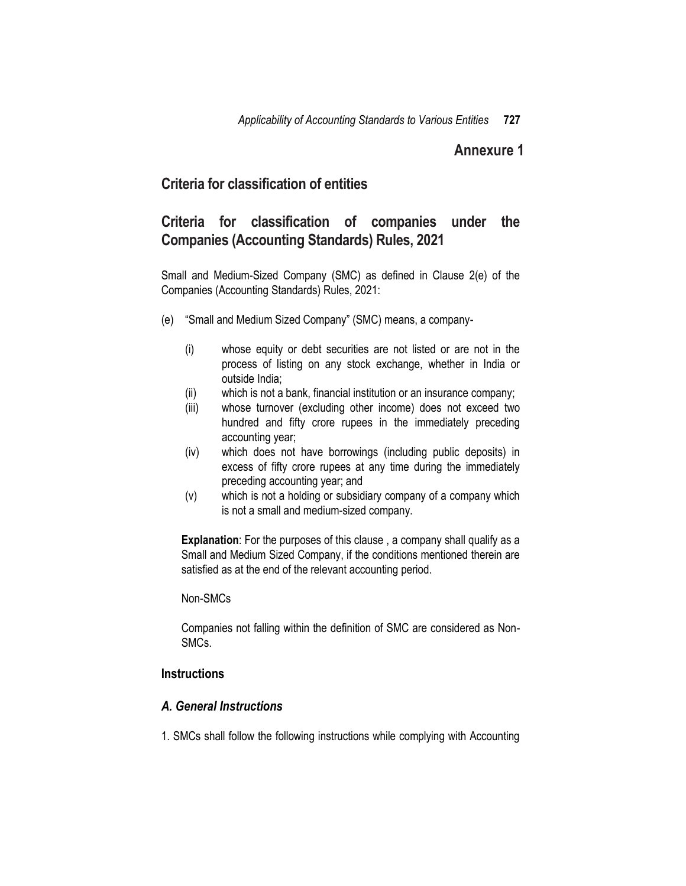## **Annexure 1**

# **Criteria for classification of entities**

# **Criteria for classification of companies under the Companies (Accounting Standards) Rules, 2021**

Small and Medium-Sized Company (SMC) as defined in Clause 2(e) of the Companies (Accounting Standards) Rules, 2021:

- (e) "Small and Medium Sized Company" (SMC) means, a company-
	- (i) whose equity or debt securities are not listed or are not in the process of listing on any stock exchange, whether in India or outside India;
	- (ii) which is not a bank, financial institution or an insurance company;
	- (iii) whose turnover (excluding other income) does not exceed two hundred and fifty crore rupees in the immediately preceding accounting year;
	- (iv) which does not have borrowings (including public deposits) in excess of fifty crore rupees at any time during the immediately preceding accounting year; and
	- (v) which is not a holding or subsidiary company of a company which is not a small and medium-sized company.

**Explanation**: For the purposes of this clause, a company shall qualify as a Small and Medium Sized Company, if the conditions mentioned therein are satisfied as at the end of the relevant accounting period.

#### Non-SMCs

Companies not falling within the definition of SMC are considered as Non-SMCs.

### **Instructions**

### *A. General Instructions*

1. SMCs shall follow the following instructions while complying with Accounting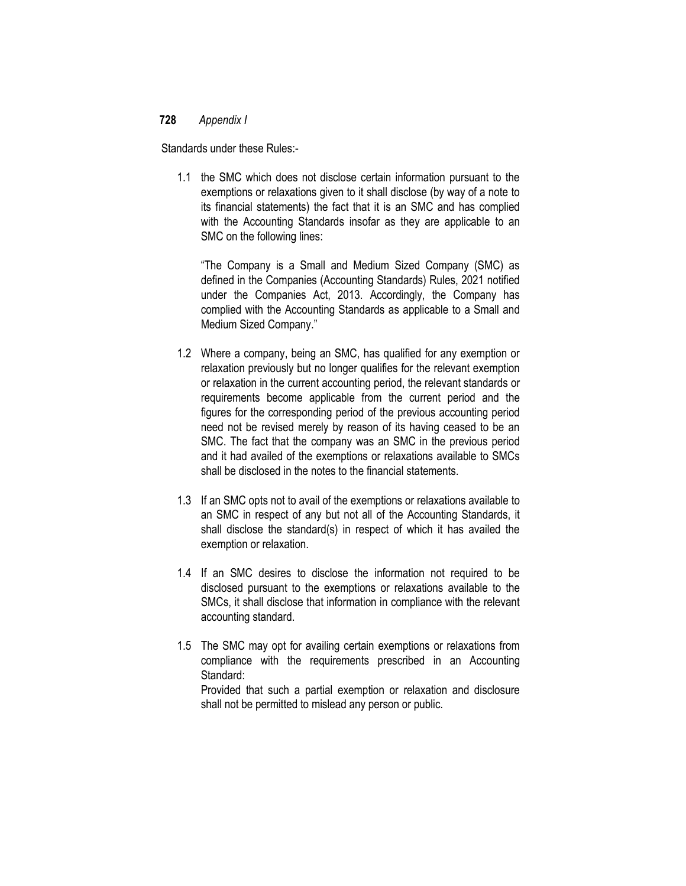Standards under these Rules:-

1.1 the SMC which does not disclose certain information pursuant to the exemptions or relaxations given to it shall disclose (by way of a note to its financial statements) the fact that it is an SMC and has complied with the Accounting Standards insofar as they are applicable to an SMC on the following lines:

"The Company is a Small and Medium Sized Company (SMC) as defined in the Companies (Accounting Standards) Rules, 2021 notified under the Companies Act, 2013. Accordingly, the Company has complied with the Accounting Standards as applicable to a Small and Medium Sized Company."

- 1.2 Where a company, being an SMC, has qualified for any exemption or relaxation previously but no longer qualifies for the relevant exemption or relaxation in the current accounting period, the relevant standards or requirements become applicable from the current period and the figures for the corresponding period of the previous accounting period need not be revised merely by reason of its having ceased to be an SMC. The fact that the company was an SMC in the previous period and it had availed of the exemptions or relaxations available to SMCs shall be disclosed in the notes to the financial statements.
- 1.3 If an SMC opts not to avail of the exemptions or relaxations available to an SMC in respect of any but not all of the Accounting Standards, it shall disclose the standard(s) in respect of which it has availed the exemption or relaxation.
- 1.4 If an SMC desires to disclose the information not required to be disclosed pursuant to the exemptions or relaxations available to the SMCs, it shall disclose that information in compliance with the relevant accounting standard.
- 1.5 The SMC may opt for availing certain exemptions or relaxations from compliance with the requirements prescribed in an Accounting Standard:

Provided that such a partial exemption or relaxation and disclosure shall not be permitted to mislead any person or public.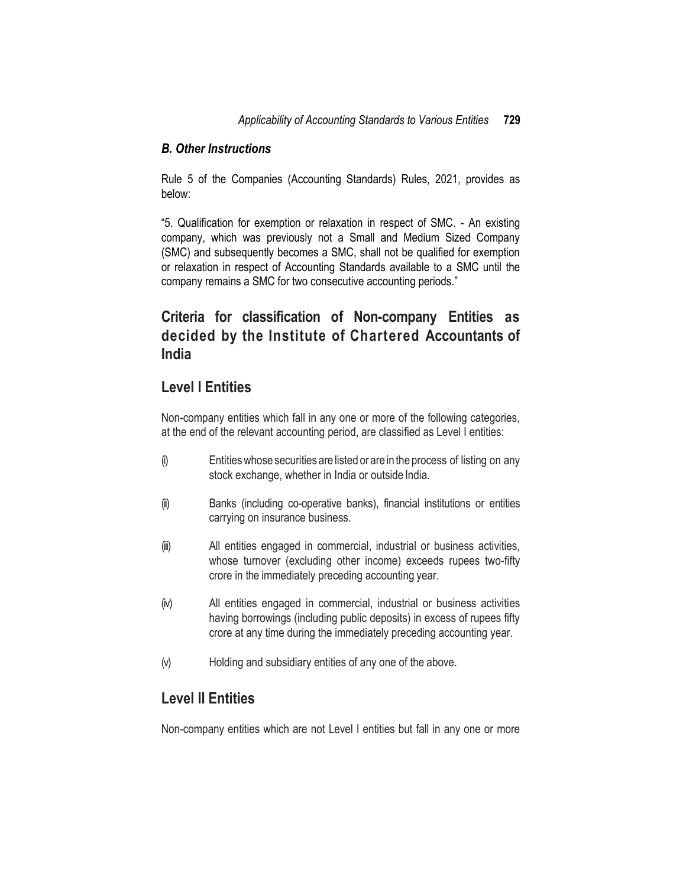### *B. Other Instructions*

Rule 5 of the Companies (Accounting Standards) Rules, 2021, provides as below:

"5. Qualification for exemption or relaxation in respect of SMC. - An existing company, which was previously not a Small and Medium Sized Company (SMC) and subsequently becomes a SMC, shall not be qualified for exemption or relaxation in respect of Accounting Standards available to a SMC until the company remains a SMC for two consecutive accounting periods."

# **Criteria for classification of Non-company Entities as decided by the Institute of Chartered Accountants of India**

## **Level I Entities**

Non-company entities which fall in any one or more of the following categories, at the end of the relevant accounting period, are classified as Level I entities:

- (i) Entitieswhose securities are listed or are in the process of listing on any stock exchange, whether in India or outside India.
- (ii) Banks (including co-operative banks), financial institutions or entities carrying on insurance business.
- (iii) All entities engaged in commercial, industrial or business activities, whose turnover (excluding other income) exceeds rupees two-fifty crore in the immediately preceding accounting year.
- (iv) All entities engaged in commercial, industrial or business activities having borrowings (including public deposits) in excess of rupees fifty crore at any time during the immediately preceding accounting year.
- (v) Holding and subsidiary entities of any one of the above.

## **Level II Entities**

Non-company entities which are not Level I entities but fall in any one or more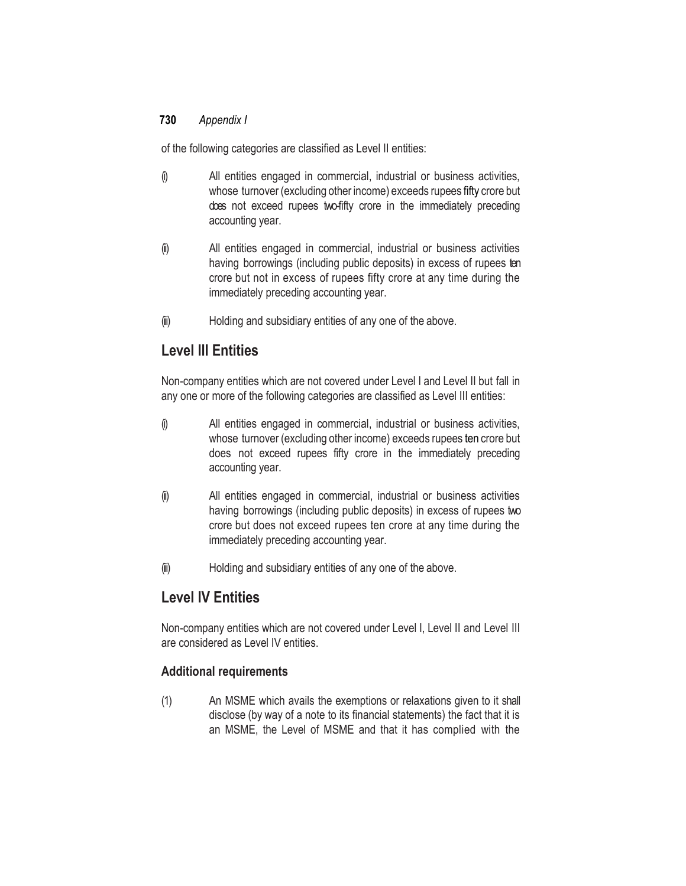of the following categories are classified as Level II entities:

- (i) All entities engaged in commercial, industrial or business activities, whose turnover (excluding other income) exceeds rupees fifty crore but does not exceed rupees two-fifty crore in the immediately preceding accounting year.
- (ii) All entities engaged in commercial, industrial or business activities having borrowings (including public deposits) in excess of rupees ten crore but not in excess of rupees fifty crore at any time during the immediately preceding accounting year.
- (iii) Holding and subsidiary entities of any one of the above.

# **Level III Entities**

Non-company entities which are not covered under Level I and Level II but fall in any one or more of the following categories are classified as Level III entities:

- (i) All entities engaged in commercial, industrial or business activities, whose turnover (excluding other income) exceeds rupees ten crore but does not exceed rupees fifty crore in the immediately preceding accounting year.
- (ii) All entities engaged in commercial, industrial or business activities having borrowings (including public deposits) in excess of rupees two crore but does not exceed rupees ten crore at any time during the immediately preceding accounting year.
- (iii) Holding and subsidiary entities of any one of the above.

# **Level IV Entities**

Non-company entities which are not covered under Level I, Level II and Level III are considered as Level IV entities.

## **Additional requirements**

(1) An MSME which avails the exemptions or relaxations given to it shall disclose (by way of a note to its financial statements) the fact that it is an MSME, the Level of MSME and that it has complied with the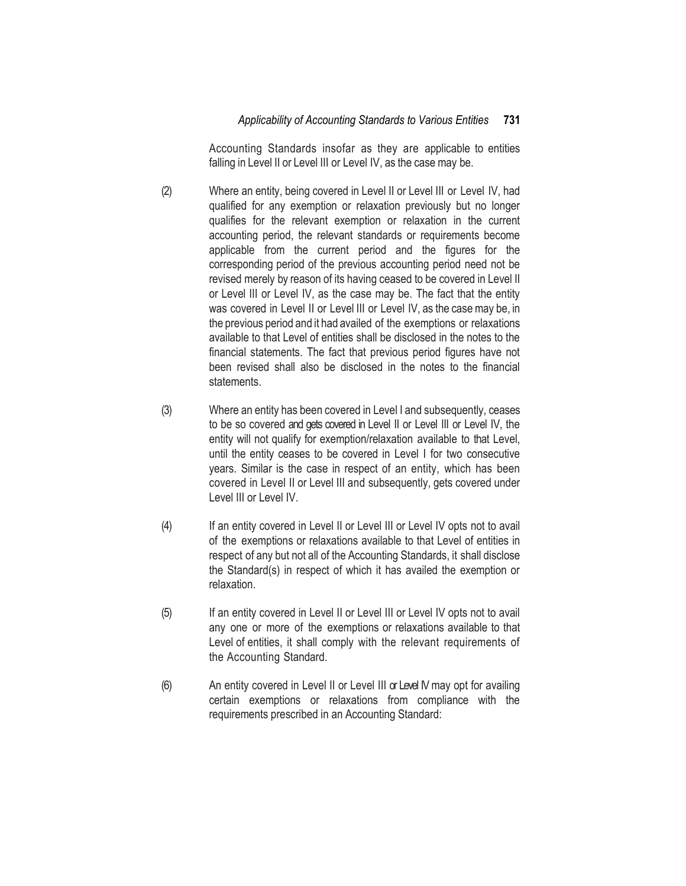Accounting Standards insofar as they are applicable to entities falling in Level II or Level III or Level IV, as the case may be.

- (2) Where an entity, being covered in Level II or Level III or Level IV, had qualified for any exemption or relaxation previously but no longer qualifies for the relevant exemption or relaxation in the current accounting period, the relevant standards or requirements become applicable from the current period and the figures for the corresponding period of the previous accounting period need not be revised merely by reason of its having ceased to be covered in Level II or Level III or Level IV, as the case may be. The fact that the entity was covered in Level II or Level III or Level IV, as the casemay be, in the previous period and it had availed of the exemptions or relaxations available to that Level of entities shall be disclosed in the notes to the financial statements. The fact that previous period figures have not been revised shall also be disclosed in the notes to the financial statements.
- (3) Where an entity has been covered in Level I and subsequently, ceases to be so covered and gets covered in Level II or Level III or Level IV, the entity will not qualify for exemption/relaxation available to that Level, until the entity ceases to be covered in Level I for two consecutive years. Similar is the case in respect of an entity, which has been covered in Level II or Level III and subsequently, gets covered under Level III or Level IV.
- (4) If an entity covered in Level II or Level III or Level IV opts not to avail of the exemptions or relaxations available to that Level of entities in respect of any but not all of the Accounting Standards, it shall disclose the Standard(s) in respect of which it has availed the exemption or relaxation.
- (5) If an entity covered in Level II or Level III or Level IV opts not to avail any one or more of the exemptions or relaxations available to that Level of entities, it shall comply with the relevant requirements of the Accounting Standard.
- (6) An entity covered in Level II or Level III or Level IV may opt for availing certain exemptions or relaxations from compliance with the requirements prescribed in an Accounting Standard: